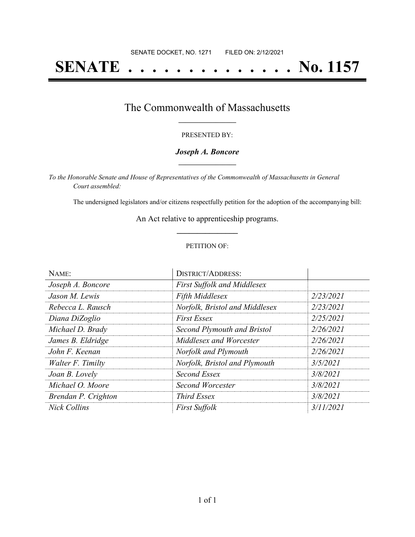# **SENATE . . . . . . . . . . . . . . No. 1157**

## The Commonwealth of Massachusetts **\_\_\_\_\_\_\_\_\_\_\_\_\_\_\_\_\_**

#### PRESENTED BY:

#### *Joseph A. Boncore* **\_\_\_\_\_\_\_\_\_\_\_\_\_\_\_\_\_**

*To the Honorable Senate and House of Representatives of the Commonwealth of Massachusetts in General Court assembled:*

The undersigned legislators and/or citizens respectfully petition for the adoption of the accompanying bill:

An Act relative to apprenticeship programs. **\_\_\_\_\_\_\_\_\_\_\_\_\_\_\_**

#### PETITION OF:

| NAME:               | <b>DISTRICT/ADDRESS:</b>           |           |
|---------------------|------------------------------------|-----------|
| Joseph A. Boncore   | <b>First Suffolk and Middlesex</b> |           |
| Jason M. Lewis      | <b>Fifth Middlesex</b>             | 2/23/2021 |
| Rebecca L. Rausch   | Norfolk, Bristol and Middlesex     | 2/23/2021 |
| Diana DiZoglio      | <b>First Essex</b>                 | 2/25/2021 |
| Michael D. Brady    | Second Plymouth and Bristol        | 2/26/2021 |
| James B. Eldridge   | Middlesex and Worcester            | 2/26/2021 |
| John F. Keenan      | Norfolk and Plymouth               | 2/26/2021 |
| Walter F. Timilty   | Norfolk, Bristol and Plymouth      | 3/5/2021  |
| Joan B. Lovely      | Second Essex                       | 3/8/2021  |
| Michael O. Moore    | Second Worcester                   | 3/8/2021  |
| Brendan P. Crighton | Third Essex                        | 3/8/2021  |
| <b>Nick Collins</b> | <b>First Suffolk</b>               | 3/11/2021 |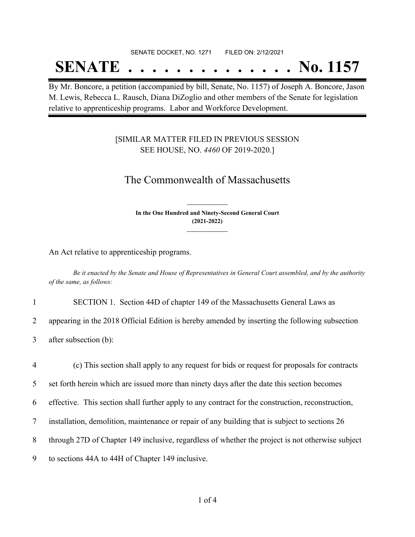#### SENATE DOCKET, NO. 1271 FILED ON: 2/12/2021

## **SENATE . . . . . . . . . . . . . . No. 1157**

By Mr. Boncore, a petition (accompanied by bill, Senate, No. 1157) of Joseph A. Boncore, Jason M. Lewis, Rebecca L. Rausch, Diana DiZoglio and other members of the Senate for legislation relative to apprenticeship programs. Labor and Workforce Development.

#### [SIMILAR MATTER FILED IN PREVIOUS SESSION SEE HOUSE, NO. *4460* OF 2019-2020.]

### The Commonwealth of Massachusetts

**In the One Hundred and Ninety-Second General Court (2021-2022) \_\_\_\_\_\_\_\_\_\_\_\_\_\_\_**

**\_\_\_\_\_\_\_\_\_\_\_\_\_\_\_**

An Act relative to apprenticeship programs.

Be it enacted by the Senate and House of Representatives in General Court assembled, and by the authority *of the same, as follows:*

1 SECTION 1. Section 44D of chapter 149 of the Massachusetts General Laws as

2 appearing in the 2018 Official Edition is hereby amended by inserting the following subsection

3 after subsection (b):

 (c) This section shall apply to any request for bids or request for proposals for contracts set forth herein which are issued more than ninety days after the date this section becomes effective. This section shall further apply to any contract for the construction, reconstruction, installation, demolition, maintenance or repair of any building that is subject to sections 26 through 27D of Chapter 149 inclusive, regardless of whether the project is not otherwise subject to sections 44A to 44H of Chapter 149 inclusive.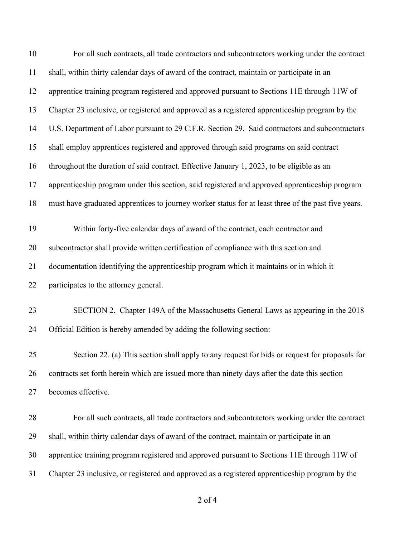| 10 | For all such contracts, all trade contractors and subcontractors working under the contract         |
|----|-----------------------------------------------------------------------------------------------------|
| 11 | shall, within thirty calendar days of award of the contract, maintain or participate in an          |
| 12 | apprentice training program registered and approved pursuant to Sections 11E through 11W of         |
| 13 | Chapter 23 inclusive, or registered and approved as a registered apprenticeship program by the      |
| 14 | U.S. Department of Labor pursuant to 29 C.F.R. Section 29. Said contractors and subcontractors      |
| 15 | shall employ apprentices registered and approved through said programs on said contract             |
| 16 | throughout the duration of said contract. Effective January 1, 2023, to be eligible as an           |
| 17 | apprenticeship program under this section, said registered and approved apprenticeship program      |
| 18 | must have graduated apprentices to journey worker status for at least three of the past five years. |
| 19 | Within forty-five calendar days of award of the contract, each contractor and                       |
| 20 | subcontractor shall provide written certification of compliance with this section and               |
| 21 | documentation identifying the apprenticeship program which it maintains or in which it              |
| 22 | participates to the attorney general.                                                               |
| 23 | SECTION 2. Chapter 149A of the Massachusetts General Laws as appearing in the 2018                  |
| 24 | Official Edition is hereby amended by adding the following section:                                 |
| 25 | Section 22. (a) This section shall apply to any request for bids or request for proposals for       |
| 26 | contracts set forth herein which are issued more than ninety days after the date this section       |
| 27 | becomes effective.                                                                                  |
| 28 | For all such contracts, all trade contractors and subcontractors working under the contract         |
| 29 | shall, within thirty calendar days of award of the contract, maintain or participate in an          |
| 30 | apprentice training program registered and approved pursuant to Sections 11E through 11W of         |
| 31 | Chapter 23 inclusive, or registered and approved as a registered apprenticeship program by the      |

of 4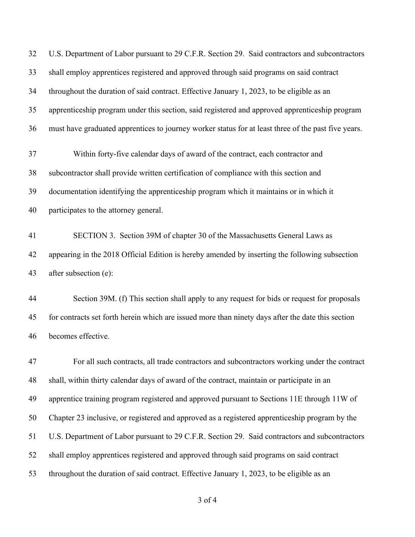U.S. Department of Labor pursuant to 29 C.F.R. Section 29. Said contractors and subcontractors shall employ apprentices registered and approved through said programs on said contract throughout the duration of said contract. Effective January 1, 2023, to be eligible as an apprenticeship program under this section, said registered and approved apprenticeship program must have graduated apprentices to journey worker status for at least three of the past five years. Within forty-five calendar days of award of the contract, each contractor and subcontractor shall provide written certification of compliance with this section and documentation identifying the apprenticeship program which it maintains or in which it participates to the attorney general. SECTION 3. Section 39M of chapter 30 of the Massachusetts General Laws as appearing in the 2018 Official Edition is hereby amended by inserting the following subsection after subsection (e): Section 39M. (f) This section shall apply to any request for bids or request for proposals for contracts set forth herein which are issued more than ninety days after the date this section becomes effective. For all such contracts, all trade contractors and subcontractors working under the contract shall, within thirty calendar days of award of the contract, maintain or participate in an apprentice training program registered and approved pursuant to Sections 11E through 11W of Chapter 23 inclusive, or registered and approved as a registered apprenticeship program by the U.S. Department of Labor pursuant to 29 C.F.R. Section 29. Said contractors and subcontractors shall employ apprentices registered and approved through said programs on said contract throughout the duration of said contract. Effective January 1, 2023, to be eligible as an

of 4